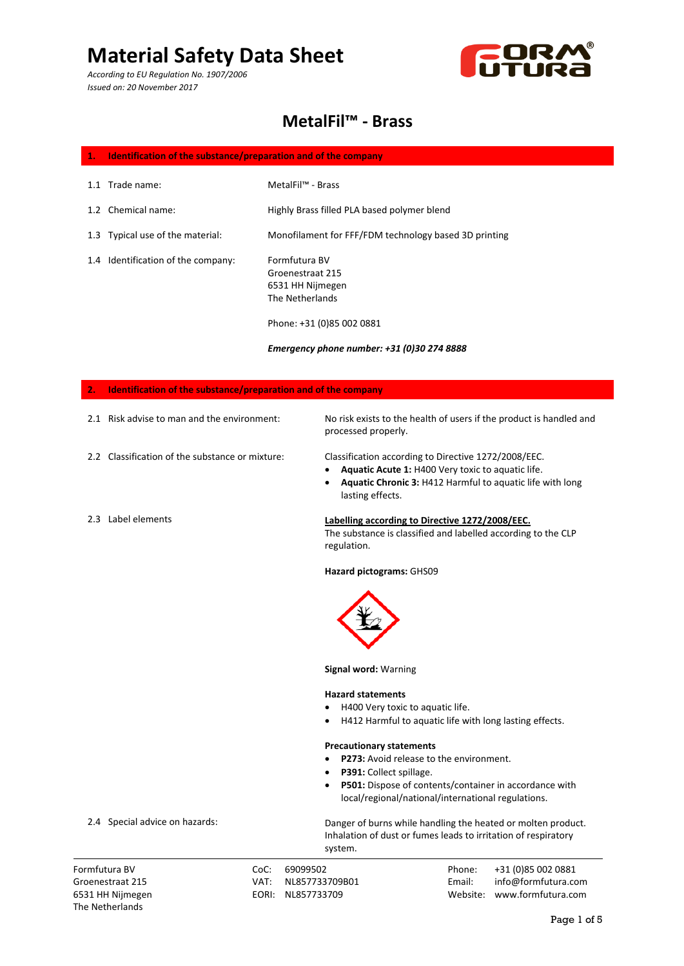*According to EU Regulation No. 1907/2006 Issued on: 20 November 2017*



### **MetalFil™ - Brass**

### **1. Identification of the substance/preparation and of the company**

- 1.1 Trade name: MetalFil™ - Brass
	- Highly Brass filled PLA based polymer blend
- 1.3 Typical use of the material: Monofilament for FFF/FDM technology based 3D printing
- 1.4 Identification of the company:

1.2 Chemical name:

Formfutura BV Groenestraat 215 6531 HH Nijmegen The Netherlands

Phone: +31 (0)85 002 0881

*Emergency phone number: +31 (0)30 274 8888*

### **2. Identification of the substance/preparation and of the company** 2.1 Risk advise to man and the environment: 2.2 Classification of the substance or mixture: 2.3 Label elements No risk exists to the health of users if the product is handled and processed properly. Classification according to Directive 1272/2008/EEC. • **Aquatic Acute 1:** H400 Very toxic to aquatic life. • **Aquatic Chronic 3:** H412 Harmful to aquatic life with long lasting effects. **Labelling according to Directive 1272/2008/EEC.** The substance is classified and labelled according to the CLP regulation. **Hazard pictograms:** GHS09 **Signal word:** Warning **Hazard statements** • H400 Very toxic to aquatic life. • H412 Harmful to aquatic life with long lasting effects. **Precautionary statements** • **P273:** Avoid release to the environment. • **P391:** Collect spillage. • **P501:** Dispose of contents/container in accordance with local/regional/national/international regulations. Danger of burns while handling the heated or molten product.

Inhalation of dust or fumes leads to irritation of respiratory system.

Formfutura BV CoC: 69099502 Phone: +31 (0)85 002 0881 Groenestraat 215 VAT: NL857733709B01 Email: info@formfutura.com 6531 HH Nijmegen EORI: NL857733709 Website: www.formfutura.com

#### 2.4 Special advice on hazards:

The Netherlands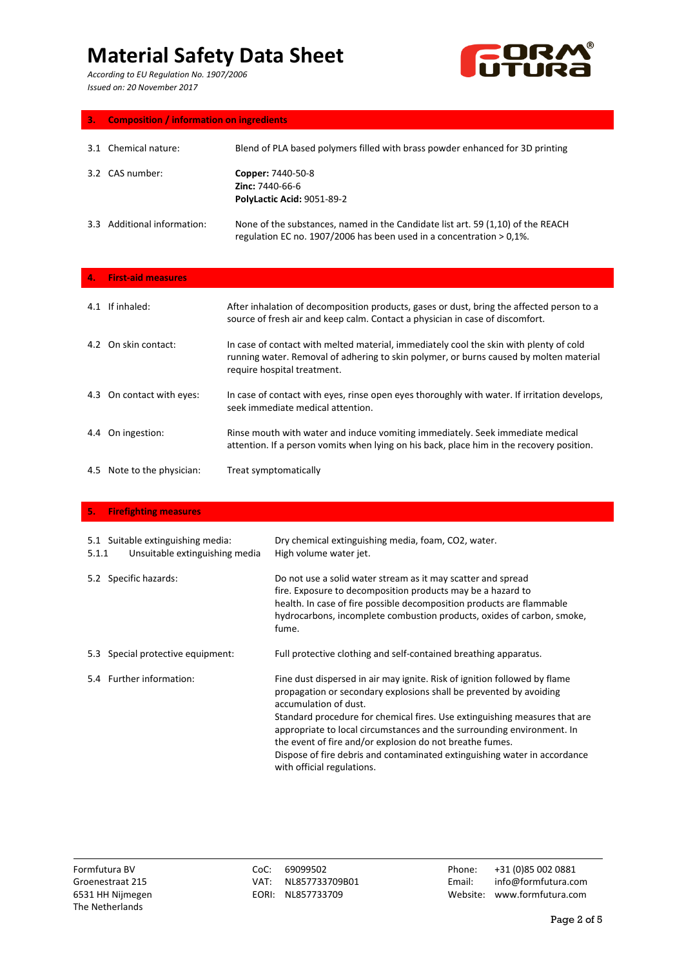*According to EU Regulation No. 1907/2006 Issued on: 20 November 2017*



| з.  | <b>Composition / information on ingredients</b> |                                                                                                                                                               |  |
|-----|-------------------------------------------------|---------------------------------------------------------------------------------------------------------------------------------------------------------------|--|
| 3.1 | Chemical nature:                                | Blend of PLA based polymers filled with brass powder enhanced for 3D printing                                                                                 |  |
|     | 3.2 CAS number:                                 | Copper: 7440-50-8<br><b>Zinc: 7440-66-6</b><br>PolyLactic Acid: 9051-89-2                                                                                     |  |
| 3.3 | Additional information:                         | None of the substances, named in the Candidate list art. 59 (1,10) of the REACH<br>regulation EC no. $1907/2006$ has been used in a concentration $> 0.1\%$ . |  |

|     | 4. First-aid measures      |                                                                                                                                                                                                                 |
|-----|----------------------------|-----------------------------------------------------------------------------------------------------------------------------------------------------------------------------------------------------------------|
| 4.1 | If inhaled:                | After inhalation of decomposition products, gases or dust, bring the affected person to a<br>source of fresh air and keep calm. Contact a physician in case of discomfort.                                      |
|     | 4.2 On skin contact:       | In case of contact with melted material, immediately cool the skin with plenty of cold<br>running water. Removal of adhering to skin polymer, or burns caused by molten material<br>require hospital treatment. |
|     | 4.3 On contact with eyes:  | In case of contact with eyes, rinse open eyes thoroughly with water. If irritation develops,<br>seek immediate medical attention.                                                                               |
|     | 4.4 On ingestion:          | Rinse mouth with water and induce vomiting immediately. Seek immediate medical<br>attention. If a person vomits when lying on his back, place him in the recovery position.                                     |
|     | 4.5 Note to the physician: | Treat symptomatically                                                                                                                                                                                           |

### **5. Firefighting measures**

| 5.1.1 | 5.1 Suitable extinguishing media:<br>Unsuitable extinguishing media | Dry chemical extinguishing media, foam, CO2, water.<br>High volume water jet.                                                                                                                                                                                                                                                                                                                                                                                                                           |
|-------|---------------------------------------------------------------------|---------------------------------------------------------------------------------------------------------------------------------------------------------------------------------------------------------------------------------------------------------------------------------------------------------------------------------------------------------------------------------------------------------------------------------------------------------------------------------------------------------|
| 5.2   | Specific hazards:                                                   | Do not use a solid water stream as it may scatter and spread<br>fire. Exposure to decomposition products may be a hazard to<br>health. In case of fire possible decomposition products are flammable<br>hydrocarbons, incomplete combustion products, oxides of carbon, smoke,<br>fume.                                                                                                                                                                                                                 |
| 5.3   | Special protective equipment:                                       | Full protective clothing and self-contained breathing apparatus.                                                                                                                                                                                                                                                                                                                                                                                                                                        |
|       | 5.4 Further information:                                            | Fine dust dispersed in air may ignite. Risk of ignition followed by flame<br>propagation or secondary explosions shall be prevented by avoiding<br>accumulation of dust.<br>Standard procedure for chemical fires. Use extinguishing measures that are<br>appropriate to local circumstances and the surrounding environment. In<br>the event of fire and/or explosion do not breathe fumes.<br>Dispose of fire debris and contaminated extinguishing water in accordance<br>with official regulations. |

Formfutura BV CoC: 69099502 Phone: +31 (0)85 002 0881 Groenestraat 215 VAT: NL857733709B01 Email: info@formfutura.com 6531 HH Nijmegen EORI: NL857733709 Website: www.formfutura.com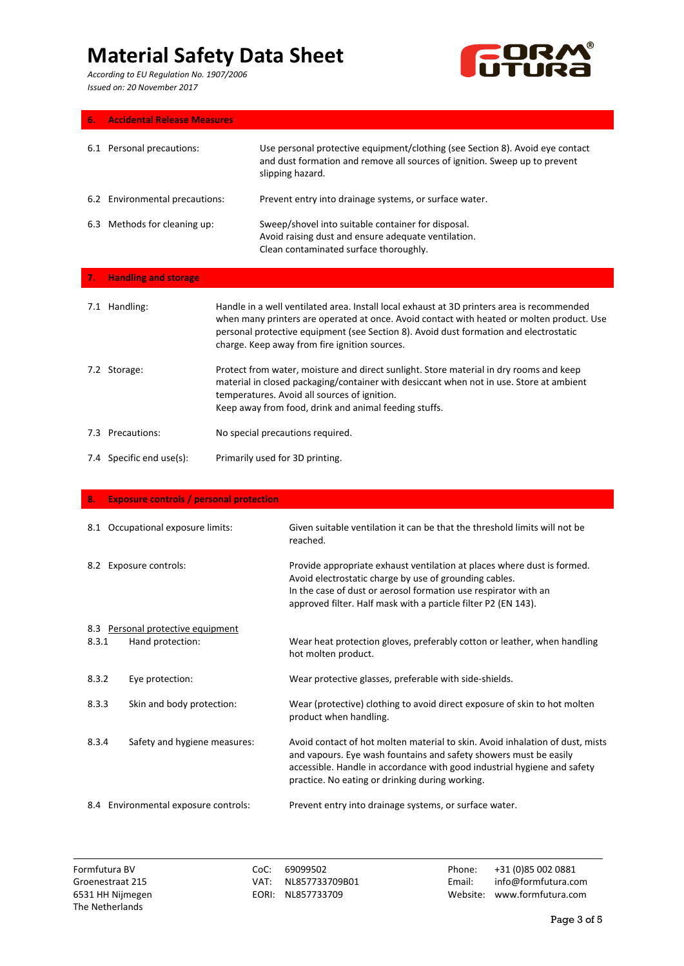*According to EU Regulation No. 1907/2006 Issued on: 20 November 2017*



|--|--|

|     | 6.1 Personal precautions:      | Use personal protective equipment/clothing (see Section 8). Avoid eye contact<br>and dust formation and remove all sources of ignition. Sweep up to prevent<br>slipping hazard.                                                                                                                                                   |
|-----|--------------------------------|-----------------------------------------------------------------------------------------------------------------------------------------------------------------------------------------------------------------------------------------------------------------------------------------------------------------------------------|
|     | 6.2 Environmental precautions: | Prevent entry into drainage systems, or surface water.                                                                                                                                                                                                                                                                            |
| 6.3 | Methods for cleaning up:       | Sweep/shovel into suitable container for disposal.<br>Avoid raising dust and ensure adequate ventilation.<br>Clean contaminated surface thoroughly.                                                                                                                                                                               |
|     | 7. Handling and storage        |                                                                                                                                                                                                                                                                                                                                   |
| 7.1 | Handling:                      | Handle in a well ventilated area. Install local exhaust at 3D printers area is recommended<br>when many printers are operated at once. Avoid contact with heated or molten product. Use<br>personal protective equipment (see Section 8). Avoid dust formation and electrostatic<br>charge. Keep away from fire ignition sources. |

- 7.2 Storage: Protect from water, moisture and direct sunlight. Store material in dry rooms and keep material in closed packaging/container with desiccant when not in use. Store at ambient temperatures. Avoid all sources of ignition. Keep away from food, drink and animal feeding stuffs.
- 7.3 Precautions: No special precautions required.
- 7.4 Specific end use(s): Primarily used for 3D printing.

| 8.    | <b>Exposure controls / personal protection</b>        |                                                                                                                                                                                                                                                                                   |
|-------|-------------------------------------------------------|-----------------------------------------------------------------------------------------------------------------------------------------------------------------------------------------------------------------------------------------------------------------------------------|
|       | 8.1 Occupational exposure limits:                     | Given suitable ventilation it can be that the threshold limits will not be<br>reached.                                                                                                                                                                                            |
|       | 8.2 Exposure controls:                                | Provide appropriate exhaust ventilation at places where dust is formed.<br>Avoid electrostatic charge by use of grounding cables.<br>In the case of dust or aerosol formation use respirator with an<br>approved filter. Half mask with a particle filter P2 (EN 143).            |
| 8.3.1 | 8.3 Personal protective equipment<br>Hand protection: | Wear heat protection gloves, preferably cotton or leather, when handling<br>hot molten product.                                                                                                                                                                                   |
| 8.3.2 | Eye protection:                                       | Wear protective glasses, preferable with side-shields.                                                                                                                                                                                                                            |
| 8.3.3 | Skin and body protection:                             | Wear (protective) clothing to avoid direct exposure of skin to hot molten<br>product when handling.                                                                                                                                                                               |
| 8.3.4 | Safety and hygiene measures:                          | Avoid contact of hot molten material to skin. Avoid inhalation of dust, mists<br>and vapours. Eye wash fountains and safety showers must be easily<br>accessible. Handle in accordance with good industrial hygiene and safety<br>practice. No eating or drinking during working. |
|       | 8.4 Environmental exposure controls:                  | Prevent entry into drainage systems, or surface water.                                                                                                                                                                                                                            |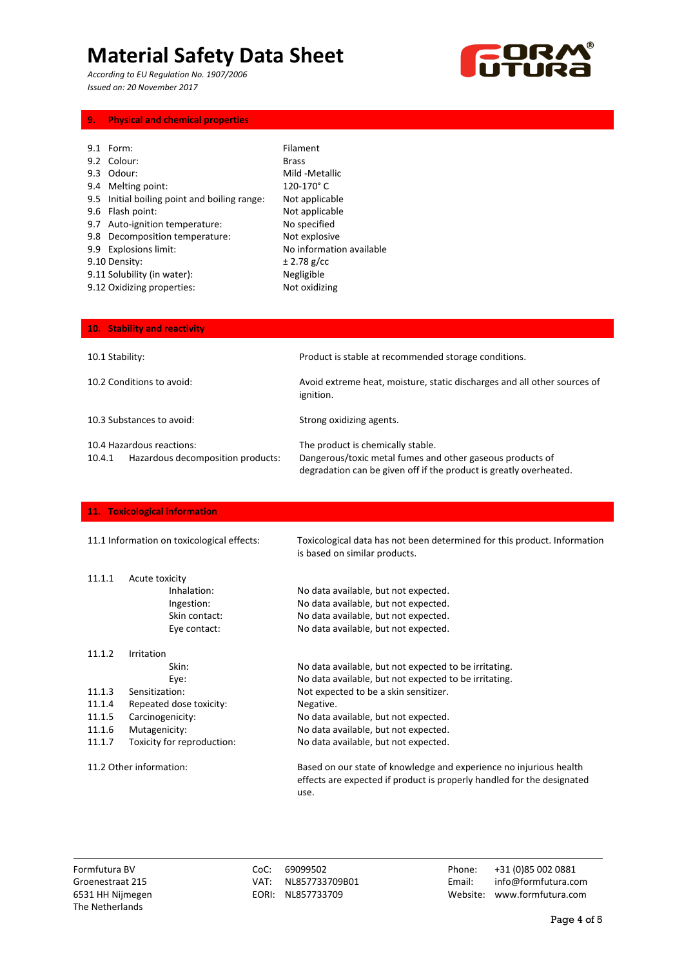*According to EU Regulation No. 1907/2006 Issued on: 20 November 2017*



### **9. Physical and chemical properties**

| 9.1 Form:                                    | Filament                 |
|----------------------------------------------|--------------------------|
| 9.2 Colour:                                  | <b>Brass</b>             |
| 9.3 Odour:                                   | Mild -Metallic           |
| 9.4 Melting point:                           | 120-170°C                |
| 9.5 Initial boiling point and boiling range: | Not applicable           |
| 9.6 Flash point:                             | Not applicable           |
| 9.7 Auto-ignition temperature:               | No specified             |
| 9.8 Decomposition temperature:               | Not explosive            |
| 9.9 Explosions limit:                        | No information available |
| 9.10 Density:                                | ± 2.78 g/cc              |
| 9.11 Solubility (in water):                  | Negligible               |
| 9.12 Oxidizing properties:                   | Not oxidizing            |
|                                              |                          |

| 10. Stability and reactivity                                             |                                                                                                                                                                      |  |
|--------------------------------------------------------------------------|----------------------------------------------------------------------------------------------------------------------------------------------------------------------|--|
| 10.1 Stability:                                                          | Product is stable at recommended storage conditions.                                                                                                                 |  |
| 10.2 Conditions to avoid:                                                | Avoid extreme heat, moisture, static discharges and all other sources of<br>ignition.                                                                                |  |
| 10.3 Substances to avoid:                                                | Strong oxidizing agents.                                                                                                                                             |  |
| 10.4 Hazardous reactions:<br>Hazardous decomposition products:<br>10.4.1 | The product is chemically stable.<br>Dangerous/toxic metal fumes and other gaseous products of<br>degradation can be given off if the product is greatly overheated. |  |

### **11. Toxicological information**

| 11.1 Information on toxicological effects: |                            | Toxicological data has not been determined for this product. Information<br>is based on similar products.                                            |
|--------------------------------------------|----------------------------|------------------------------------------------------------------------------------------------------------------------------------------------------|
| 11.1.1                                     | Acute toxicity             |                                                                                                                                                      |
|                                            | Inhalation:                | No data available, but not expected.                                                                                                                 |
|                                            | Ingestion:                 | No data available, but not expected.                                                                                                                 |
|                                            | Skin contact:              | No data available, but not expected.                                                                                                                 |
|                                            | Eye contact:               | No data available, but not expected.                                                                                                                 |
| 11.1.2                                     | Irritation                 |                                                                                                                                                      |
|                                            | Skin:                      | No data available, but not expected to be irritating.                                                                                                |
|                                            | Eye:                       | No data available, but not expected to be irritating.                                                                                                |
| 11.1.3                                     | Sensitization:             | Not expected to be a skin sensitizer.                                                                                                                |
| 11.1.4                                     | Repeated dose toxicity:    | Negative.                                                                                                                                            |
| 11.1.5                                     | Carcinogenicity:           | No data available, but not expected.                                                                                                                 |
| 11.1.6                                     | Mutagenicity:              | No data available, but not expected.                                                                                                                 |
| 11.1.7                                     | Toxicity for reproduction: | No data available, but not expected.                                                                                                                 |
| 11.2 Other information:                    |                            | Based on our state of knowledge and experience no injurious health<br>effects are expected if product is properly handled for the designated<br>use. |

Formfutura BV CoC: 69099502 Phone: +31 (0)85 002 0881 Groenestraat 215 VAT: NL857733709B01 Email: info@formfutura.com 6531 HH Nijmegen EORI: NL857733709 Website: www.formfutura.com